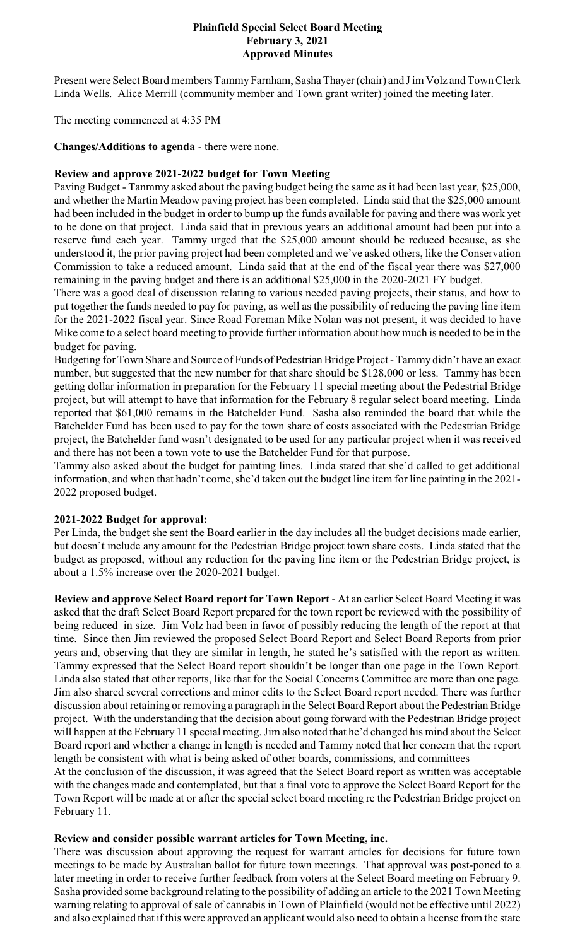#### **Plainfield Special Select Board Meeting February 3, 2021 Approved Minutes**

Present were Select Board members Tammy Farnham, Sasha Thayer (chair) and J im Volz and Town Clerk Linda Wells. Alice Merrill (community member and Town grant writer) joined the meeting later.

The meeting commenced at 4:35 PM

**Changes/Additions to agenda** - there were none.

### **Review and approve 2021-2022 budget for Town Meeting**

Paving Budget - Tanmmy asked about the paving budget being the same as it had been last year, \$25,000, and whether the Martin Meadow paving project has been completed. Linda said that the \$25,000 amount had been included in the budget in order to bump up the funds available for paving and there was work yet to be done on that project. Linda said that in previous years an additional amount had been put into a reserve fund each year. Tammy urged that the \$25,000 amount should be reduced because, as she understood it, the prior paving project had been completed and we've asked others, like the Conservation Commission to take a reduced amount. Linda said that at the end of the fiscal year there was \$27,000 remaining in the paving budget and there is an additional \$25,000 in the 2020-2021 FY budget.

There was a good deal of discussion relating to various needed paving projects, their status, and how to put together the funds needed to pay for paving, as well as the possibility of reducing the paving line item for the 2021-2022 fiscal year. Since Road Foreman Mike Nolan was not present, it was decided to have Mike come to a select board meeting to provide further information about how much is needed to be in the budget for paving.

Budgeting for Town Share and Source of Funds of Pedestrian Bridge Project - Tammy didn't have an exact number, but suggested that the new number for that share should be \$128,000 or less. Tammy has been getting dollar information in preparation for the February 11 special meeting about the Pedestrial Bridge project, but will attempt to have that information for the February 8 regular select board meeting. Linda reported that \$61,000 remains in the Batchelder Fund. Sasha also reminded the board that while the Batchelder Fund has been used to pay for the town share of costs associated with the Pedestrian Bridge project, the Batchelder fund wasn't designated to be used for any particular project when it was received and there has not been a town vote to use the Batchelder Fund for that purpose.

Tammy also asked about the budget for painting lines. Linda stated that she'd called to get additional information, and when that hadn't come, she'd taken out the budget line item for line painting in the 2021- 2022 proposed budget.

# **2021-2022 Budget for approval:**

Per Linda, the budget she sent the Board earlier in the day includes all the budget decisions made earlier, but doesn't include any amount for the Pedestrian Bridge project town share costs. Linda stated that the budget as proposed, without any reduction for the paving line item or the Pedestrian Bridge project, is about a 1.5% increase over the 2020-2021 budget.

**Review and approve Select Board report for Town Report** - At an earlier Select Board Meeting it was asked that the draft Select Board Report prepared for the town report be reviewed with the possibility of being reduced in size. Jim Volz had been in favor of possibly reducing the length of the report at that time. Since then Jim reviewed the proposed Select Board Report and Select Board Reports from prior years and, observing that they are similar in length, he stated he's satisfied with the report as written. Tammy expressed that the Select Board report shouldn't be longer than one page in the Town Report. Linda also stated that other reports, like that for the Social Concerns Committee are more than one page. Jim also shared several corrections and minor edits to the Select Board report needed. There was further discussion about retaining or removing a paragraph in the Select Board Report about the Pedestrian Bridge project. With the understanding that the decision about going forward with the Pedestrian Bridge project will happen at the February 11 special meeting. Jim also noted that he'd changed his mind about the Select Board report and whether a change in length is needed and Tammy noted that her concern that the report length be consistent with what is being asked of other boards, commissions, and committees

At the conclusion of the discussion, it was agreed that the Select Board report as written was acceptable with the changes made and contemplated, but that a final vote to approve the Select Board Report for the Town Report will be made at or after the special select board meeting re the Pedestrian Bridge project on February 11.

### **Review and consider possible warrant articles for Town Meeting, inc.**

There was discussion about approving the request for warrant articles for decisions for future town meetings to be made by Australian ballot for future town meetings. That approval was post-poned to a later meeting in order to receive further feedback from voters at the Select Board meeting on February 9. Sasha provided some background relating to the possibility of adding an article to the 2021 Town Meeting warning relating to approval of sale of cannabis in Town of Plainfield (would not be effective until 2022) and also explained that if this were approved an applicant would also need to obtain a license from the state